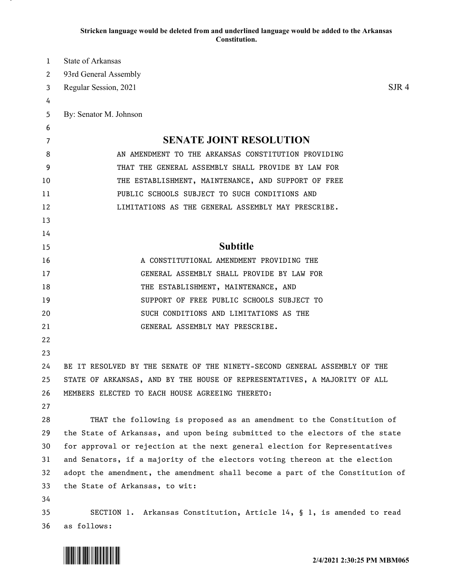## **Stricken language would be deleted from and underlined language would be added to the Arkansas Constitution.**

| 1                     | State of Arkansas                                                             |
|-----------------------|-------------------------------------------------------------------------------|
| $\mathbf{2}^{\prime}$ | 93rd General Assembly                                                         |
| 3                     | $S$ JR 4<br>Regular Session, 2021                                             |
| 4                     |                                                                               |
| 5                     | By: Senator M. Johnson                                                        |
| 6                     |                                                                               |
| 7                     | <b>SENATE JOINT RESOLUTION</b>                                                |
| 8                     | AN AMENDMENT TO THE ARKANSAS CONSTITUTION PROVIDING                           |
| 9                     | THAT THE GENERAL ASSEMBLY SHALL PROVIDE BY LAW FOR                            |
| 10                    | THE ESTABLISHMENT, MAINTENANCE, AND SUPPORT OF FREE                           |
| 11                    | PUBLIC SCHOOLS SUBJECT TO SUCH CONDITIONS AND                                 |
| 12                    | LIMITATIONS AS THE GENERAL ASSEMBLY MAY PRESCRIBE.                            |
| 13                    |                                                                               |
| 14                    |                                                                               |
| 15                    | <b>Subtitle</b>                                                               |
| 16                    | A CONSTITUTIONAL AMENDMENT PROVIDING THE                                      |
| 17                    | GENERAL ASSEMBLY SHALL PROVIDE BY LAW FOR                                     |
| 18                    | THE ESTABLISHMENT, MAINTENANCE, AND                                           |
| 19                    | SUPPORT OF FREE PUBLIC SCHOOLS SUBJECT TO                                     |
| 20                    | SUCH CONDITIONS AND LIMITATIONS AS THE                                        |
| 21                    | GENERAL ASSEMBLY MAY PRESCRIBE.                                               |
| 22                    |                                                                               |
| 23                    |                                                                               |
| 24                    | BE IT RESOLVED BY THE SENATE OF THE NINETY-SECOND GENERAL ASSEMBLY OF THE     |
| 25                    | STATE OF ARKANSAS, AND BY THE HOUSE OF REPRESENTATIVES, A MAJORITY OF ALL     |
| 26                    | MEMBERS ELECTED TO EACH HOUSE AGREEING THERETO:                               |
| 27                    |                                                                               |
| 28                    | THAT the following is proposed as an amendment to the Constitution of         |
| 29                    | the State of Arkansas, and upon being submitted to the electors of the state  |
| 30                    | for approval or rejection at the next general election for Representatives    |
| 31                    | and Senators, if a majority of the electors voting thereon at the election    |
| 32                    | adopt the amendment, the amendment shall become a part of the Constitution of |
| 33                    | the State of Arkansas, to wit:                                                |
| 34                    |                                                                               |
| 35                    | SECTION 1. Arkansas Constitution, Article 14, § 1, is amended to read         |
| 36                    | as follows:                                                                   |